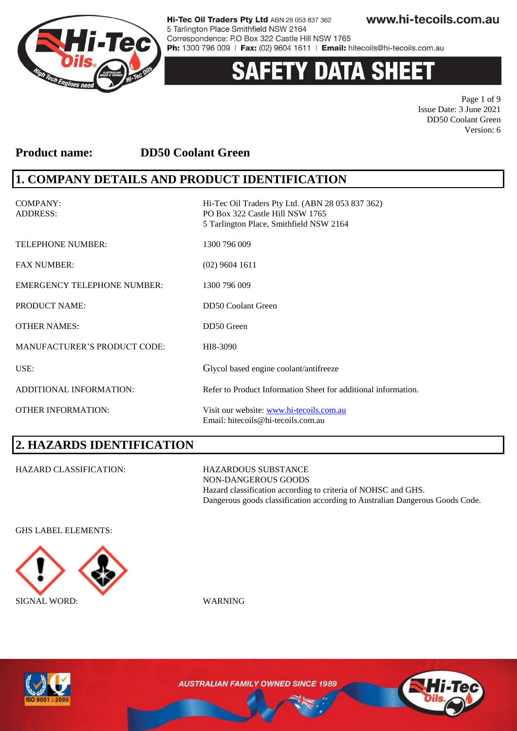

# **Y DATA SH**

Page 1 of 9 Issue Date: 3 June 2021 DD50 Coolant Green Version: 6

### **Product name: DD50 Coolant Green**

### **1. COMPANY DETAILS AND PRODUCT IDENTIFICATION**

COMPANY: Hi-Tec Oil Traders Pty Ltd. (ABN 28 053 837 362) ADDRESS: PO Box 322 Castle Hill NSW 1765 5 Tarlington Place, Smithfield NSW 2164 TELEPHONE NUMBER: 1300 796 009 FAX NUMBER: (02) 9604 1611 EMERGENCY TELEPHONE NUMBER: 1300 796 009 PRODUCT NAME: DD50 Coolant Green OTHER NAMES: DD50 Green MANUFACTURER'S PRODUCT CODE: HI8-3090 USE: Glycol based engine coolant/antifreeze ADDITIONAL INFORMATION: Refer to Product Information Sheet for additional information. OTHER INFORMATION: Visit our website: [www.hi-tecoils.com.au](http://www.hi-tecoils.com.au/) Email: hitecoils@hi-tecoils.com.au

# **2. HAZARDS IDENTIFICATION**

HAZARD CLASSIFICATION: HAZARDOUS SUBSTANCE

NON-DANGEROUS GOODS Hazard classification according to criteria of NOHSC and GHS. Dangerous goods classification according to Australian Dangerous Goods Code.

GHS LABEL ELEMENTS:





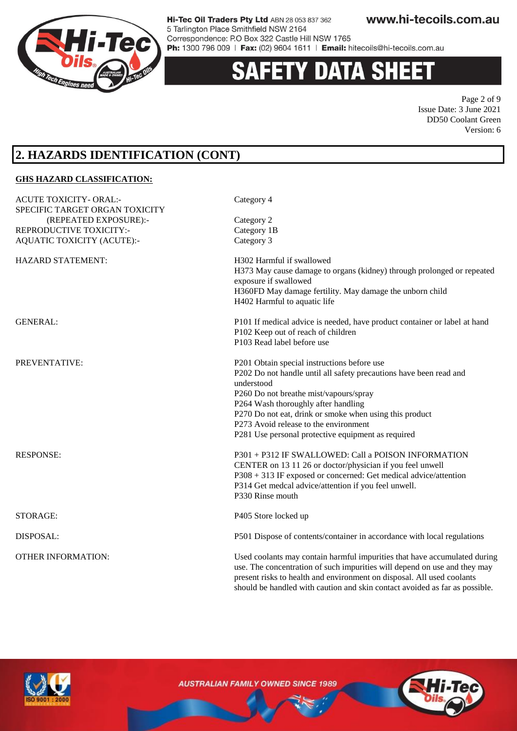

# TY DATA SH

Page 2 of 9 Issue Date: 3 June 2021 DD50 Coolant Green Version: 6

### **2. HAZARDS IDENTIFICATION (CONT)**

#### **GHS HAZARD CLASSIFICATION:** ACUTE TOXICITY- ORAL:- Category 4 SPECIFIC TARGET ORGAN TOXICITY (REPEATED EXPOSURE):- Category 2 REPRODUCTIVE TOXICITY:- Category 1B AQUATIC TOXICITY (ACUTE):- Category 3 HAZARD STATEMENT: H302 Harmful if swallowed H373 May cause damage to organs (kidney) through prolonged or repeated exposure if swallowed H360FD May damage fertility. May damage the unborn child H402 Harmful to aquatic life GENERAL: P101 If medical advice is needed, have product container or label at hand P102 Keep out of reach of children P103 Read label before use PREVENTATIVE: P201 Obtain special instructions before use P202 Do not handle until all safety precautions have been read and understood P260 Do not breathe mist/vapours/spray P264 Wash thoroughly after handling P270 Do not eat, drink or smoke when using this product P273 Avoid release to the environment P281 Use personal protective equipment as required RESPONSE: P301 + P312 IF SWALLOWED: Call a POISON INFORMATION CENTER on 13 11 26 or doctor/physician if you feel unwell P308 + 313 IF exposed or concerned: Get medical advice/attention P314 Get medcal advice/attention if you feel unwell. P330 Rinse mouth STORAGE: P405 Store locked up DISPOSAL: P501 Dispose of contents/container in accordance with local regulations OTHER INFORMATION: Used coolants may contain harmful impurities that have accumulated during use. The concentration of such impurities will depend on use and they may present risks to health and environment on disposal. All used coolants



**AUSTRALIAN FAMILY OWNED SINCE 1989** 

should be handled with caution and skin contact avoided as far as possible.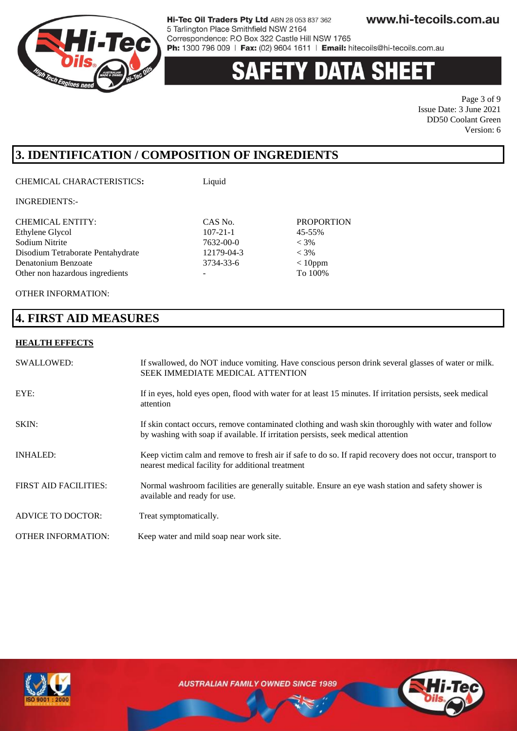

### **Y DATA SH** 135

Page 3 of 9 Issue Date: 3 June 2021 DD50 Coolant Green Version: 6

## **3. IDENTIFICATION / COMPOSITION OF INGREDIENTS**

CHEMICAL CHARACTERISTICS**:** Liquid

INGREDIENTS:-

| <b>CHEMICAL ENTITY:</b>           | CAS No.        | <b>PROPORTION</b> |
|-----------------------------------|----------------|-------------------|
| Ethylene Glycol                   | $107 - 21 - 1$ | 45-55%            |
| Sodium Nitrite                    | 7632-00-0      | $< 3\%$           |
| Disodium Tetraborate Pentahydrate | 12179-04-3     | $< 3\%$           |
| Denatonium Benzoate               | 3734-33-6      | $< 10$ ppm        |
| Other non hazardous ingredients   |                | To 100%           |
|                                   |                |                   |

OTHER INFORMATION:

### **4. FIRST AID MEASURES**

#### **HEALTH EFFECTS**

| SWALLOWED:                   | If swallowed, do NOT induce vomiting. Have conscious person drink several glasses of water or milk.<br><b>SEEK IMMEDIATE MEDICAL ATTENTION</b>                                           |
|------------------------------|------------------------------------------------------------------------------------------------------------------------------------------------------------------------------------------|
| EYE:                         | If in eyes, hold eyes open, flood with water for at least 15 minutes. If irritation persists, seek medical<br>attention                                                                  |
| SKIN:                        | If skin contact occurs, remove contaminated clothing and wash skin thoroughly with water and follow<br>by washing with soap if available. If irritation persists, seek medical attention |
| <b>INHALED:</b>              | Keep victim calm and remove to fresh air if safe to do so. If rapid recovery does not occur, transport to<br>nearest medical facility for additional treatment                           |
| <b>FIRST AID FACILITIES:</b> | Normal washroom facilities are generally suitable. Ensure an eye wash station and safety shower is<br>available and ready for use.                                                       |
| <b>ADVICE TO DOCTOR:</b>     | Treat symptomatically.                                                                                                                                                                   |
| <b>OTHER INFORMATION:</b>    | Keep water and mild soap near work site.                                                                                                                                                 |



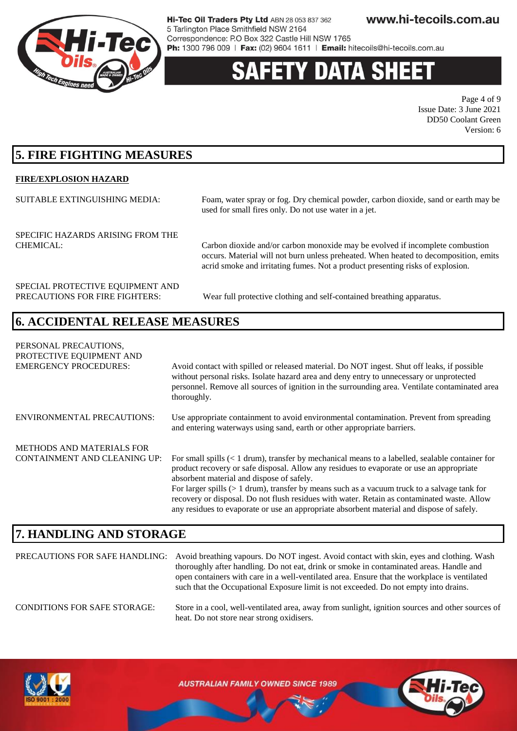

# **ETY DATA SH**

Page 4 of 9 Issue Date: 3 June 2021 DD50 Coolant Green Version: 6

### **5. FIRE FIGHTING MEASURES**

#### **FIRE/EXPLOSION HAZARD**

SUITABLE EXTINGUISHING MEDIA: Foam, water spray or fog. Dry chemical powder, carbon dioxide, sand or earth may be used for small fires only. Do not use water in a jet.

SPECIFIC HAZARDS ARISING FROM THE

CHEMICAL: Carbon dioxide and/or carbon monoxide may be evolved if incomplete combustion occurs. Material will not burn unless preheated. When heated to decomposition, emits acrid smoke and irritating fumes. Not a product presenting risks of explosion.

SPECIAL PROTECTIVE EQUIPMENT AND

PRECAUTIONS FOR FIRE FIGHTERS: Wear full protective clothing and self-contained breathing apparatus.

### **6. ACCIDENTAL RELEASE MEASURES**

PERSONAL PRECAUTIONS, PROTECTIVE EQUIPMENT AND EMERGENCY PROCEDURES: Avoid contact with spilled or released material. Do NOT ingest. Shut off leaks, if possible without personal risks. Isolate hazard area and deny entry to unnecessary or unprotected personnel. Remove all sources of ignition in the surrounding area. Ventilate contaminated area thoroughly. ENVIRONMENTAL PRECAUTIONS: Use appropriate containment to avoid environmental contamination. Prevent from spreading and entering waterways using sand, earth or other appropriate barriers. METHODS AND MATERIALS FOR CONTAINMENT AND CLEANING UP: For small spills  $(< 1 \text{ drum}$ , transfer by mechanical means to a labelled, sealable container for product recovery or safe disposal. Allow any residues to evaporate or use an appropriate absorbent material and dispose of safely. For larger spills (> 1 drum), transfer by means such as a vacuum truck to a salvage tank for recovery or disposal. Do not flush residues with water. Retain as contaminated waste. Allow any residues to evaporate or use an appropriate absorbent material and dispose of safely.

### **7. HANDLING AND STORAGE**

PRECAUTIONS FOR SAFE HANDLING: Avoid breathing vapours. Do NOT ingest. Avoid contact with skin, eyes and clothing. Wash thoroughly after handling. Do not eat, drink or smoke in contaminated areas. Handle and open containers with care in a well-ventilated area. Ensure that the workplace is ventilated such that the Occupational Exposure limit is not exceeded. Do not empty into drains. CONDITIONS FOR SAFE STORAGE: Store in a cool, well-ventilated area, away from sunlight, ignition sources and other sources of heat. Do not store near strong oxidisers.

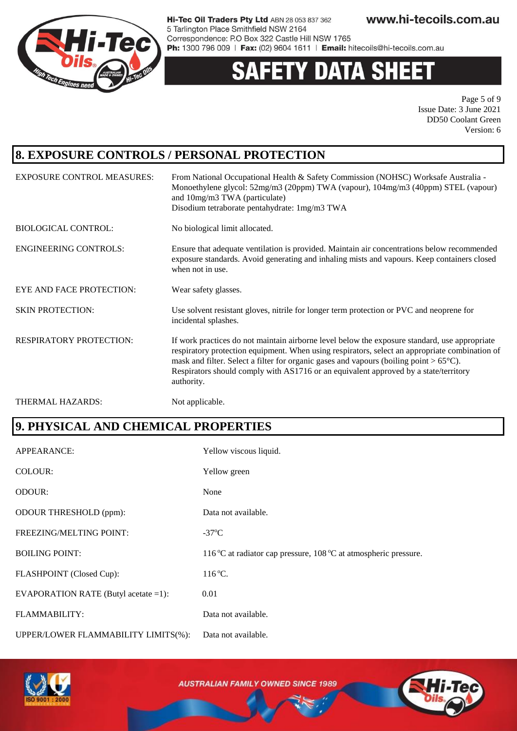

# **Y DATA SHEE**

Page 5 of 9 Issue Date: 3 June 2021 DD50 Coolant Green Version: 6

## **8. EXPOSURE CONTROLS / PERSONAL PROTECTION**

| <b>EXPOSURE CONTROL MEASURES:</b> | From National Occupational Health & Safety Commission (NOHSC) Worksafe Australia -<br>Monoethylene glycol: 52mg/m3 (20ppm) TWA (vapour), 104mg/m3 (40ppm) STEL (vapour)<br>and 10mg/m3 TWA (particulate)<br>Disodium tetraborate pentahydrate: 1mg/m3 TWA                                                                                                                                                 |
|-----------------------------------|-----------------------------------------------------------------------------------------------------------------------------------------------------------------------------------------------------------------------------------------------------------------------------------------------------------------------------------------------------------------------------------------------------------|
| <b>BIOLOGICAL CONTROL:</b>        | No biological limit allocated.                                                                                                                                                                                                                                                                                                                                                                            |
| <b>ENGINEERING CONTROLS:</b>      | Ensure that adequate ventilation is provided. Maintain air concentrations below recommended<br>exposure standards. Avoid generating and inhaling mists and vapours. Keep containers closed<br>when not in use.                                                                                                                                                                                            |
| EYE AND FACE PROTECTION:          | Wear safety glasses.                                                                                                                                                                                                                                                                                                                                                                                      |
| <b>SKIN PROTECTION:</b>           | Use solvent resistant gloves, nitrile for longer term protection or PVC and neoprene for<br>incidental splashes.                                                                                                                                                                                                                                                                                          |
| <b>RESPIRATORY PROTECTION:</b>    | If work practices do not maintain airborne level below the exposure standard, use appropriate<br>respiratory protection equipment. When using respirators, select an appropriate combination of<br>mask and filter. Select a filter for organic gases and vapours (boiling point $> 65^{\circ}$ C).<br>Respirators should comply with AS1716 or an equivalent approved by a state/territory<br>authority. |
| THERMAL HAZARDS:                  | Not applicable.                                                                                                                                                                                                                                                                                                                                                                                           |

# **9. PHYSICAL AND CHEMICAL PROPERTIES**

| APPEARANCE:                             | Yellow viscous liquid.                                           |
|-----------------------------------------|------------------------------------------------------------------|
| COLOUR:                                 | Yellow green                                                     |
| <b>ODOUR:</b>                           | None                                                             |
| <b>ODOUR THRESHOLD (ppm):</b>           | Data not available.                                              |
| FREEZING/MELTING POINT:                 | $-37^{\circ}$ C                                                  |
| <b>BOILING POINT:</b>                   | 116 °C at radiator cap pressure, 108 °C at atmospheric pressure. |
| FLASHPOINT (Closed Cup):                | $116^{\circ}$ C.                                                 |
| EVAPORATION RATE (Butyl acetate $=1$ ): | 0.01                                                             |
| <b>FLAMMABILITY:</b>                    | Data not available.                                              |
| UPPER/LOWER FLAMMABILITY LIMITS(%):     | Data not available.                                              |

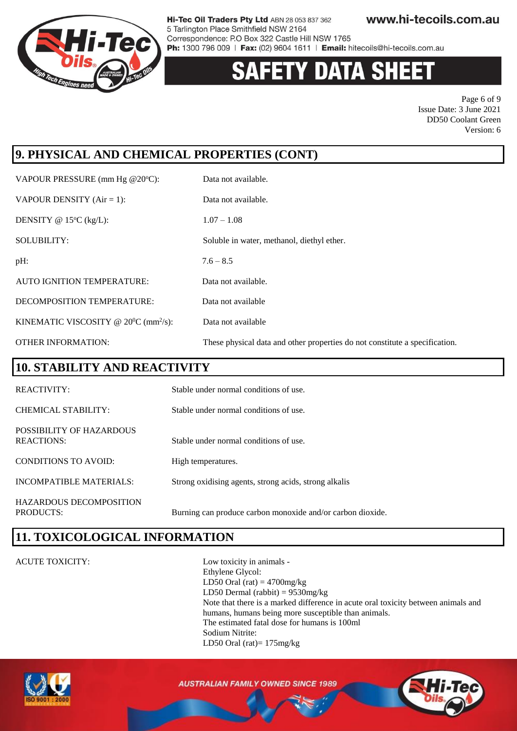

# Y DATA SH

Page 6 of 9 Issue Date: 3 June 2021 DD50 Coolant Green Version: 6

# **9. PHYSICAL AND CHEMICAL PROPERTIES (CONT)**

VAPOUR PRESSURE (mm Hg @20°C): Data not available. VAPOUR DENSITY  $(Air = 1)$ : Data not available. DENSITY @  $15^{\circ}C$  (kg/L):  $1.07 - 1.08$ SOLUBILITY: Soluble in water, methanol, diethyl ether.  $pH: 7.6 - 8.5$  AUTO IGNITION TEMPERATURE: Data not available. DECOMPOSITION TEMPERATURE: Data not available KINEMATIC VISCOSITY @  $20^0C$  (mm<sup>2</sup>/s): Data not available OTHER INFORMATION: These physical data and other properties do not constitute a specification.

### **10. STABILITY AND REACTIVITY**

| <b>REACTIVITY:</b>                            | Stable under normal conditions of use.                     |
|-----------------------------------------------|------------------------------------------------------------|
| CHEMICAL STABILITY:                           | Stable under normal conditions of use.                     |
| POSSIBILITY OF HAZARDOUS<br><b>REACTIONS:</b> | Stable under normal conditions of use.                     |
| CONDITIONS TO AVOID:                          | High temperatures.                                         |
| INCOMPATIBLE MATERIALS:                       | Strong oxidising agents, strong acids, strong alkalis      |
| HAZARDOUS DECOMPOSITION<br>PRODUCTS:          | Burning can produce carbon monoxide and/or carbon dioxide. |

### **11. TOXICOLOGICAL INFORMATION**

#### ACUTE TOXICITY: Low toxicity in animals -

Ethylene Glycol: LD50 Oral (rat)  $=$  4700mg/kg LD50 Dermal (rabbit) = 9530mg/kg Note that there is a marked difference in acute oral toxicity between animals and humans, humans being more susceptible than animals. The estimated fatal dose for humans is 100ml Sodium Nitrite: LD50 Oral (rat)= 175mg/kg



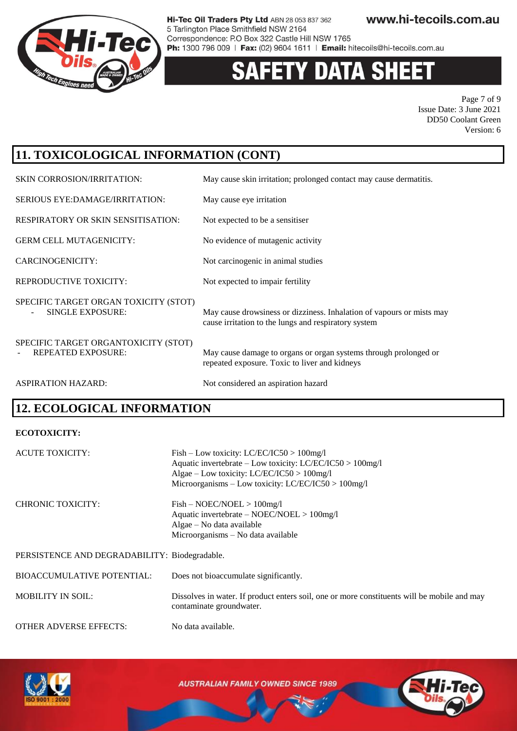

# **Y DATA SHEE**

Page 7 of 9 Issue Date: 3 June 2021 DD50 Coolant Green Version: 6

# **11. TOXICOLOGICAL INFORMATION (CONT)**

| <b>SKIN CORROSION/IRRITATION:</b>                                 | May cause skin irritation; prolonged contact may cause dermatitis.                                                            |
|-------------------------------------------------------------------|-------------------------------------------------------------------------------------------------------------------------------|
| SERIOUS EYE:DAMAGE/IRRITATION:                                    | May cause eye irritation                                                                                                      |
| <b>RESPIRATORY OR SKIN SENSITISATION:</b>                         | Not expected to be a sensitiser                                                                                               |
| <b>GERM CELL MUTAGENICITY:</b>                                    | No evidence of mutagenic activity                                                                                             |
| CARCINOGENICITY:                                                  | Not carcinogenic in animal studies                                                                                            |
| REPRODUCTIVE TOXICITY:                                            | Not expected to impair fertility                                                                                              |
| SPECIFIC TARGET ORGAN TOXICITY (STOT)<br><b>SINGLE EXPOSURE:</b>  | May cause drowsiness or dizziness. Inhalation of vapours or mists may<br>cause irritation to the lungs and respiratory system |
| SPECIFIC TARGET ORGANTOXICITY (STOT)<br><b>REPEATED EXPOSURE:</b> | May cause damage to organs or organ systems through prolonged or<br>repeated exposure. Toxic to liver and kidneys             |
| <b>ASPIRATION HAZARD:</b>                                         | Not considered an aspiration hazard                                                                                           |

# **12. ECOLOGICAL INFORMATION**

#### **ECOTOXICITY:**

| <b>ACUTE TOXICITY:</b>                        | $Fish - Low toxicity: LC/EC/IC50 > 100mg/l$<br>Aquatic invertebrate – Low toxicity: LC/EC/IC50 > 100mg/l<br>Algae – Low toxicity: LC/EC/IC50 > 100mg/l<br>Microorganisms - Low toxicity: LC/EC/IC50 > 100mg/l |
|-----------------------------------------------|---------------------------------------------------------------------------------------------------------------------------------------------------------------------------------------------------------------|
| <b>CHRONIC TOXICITY:</b>                      | $Fish - NOEC/NOEL > 100mg/l$<br>Aquatic invertebrate $-$ NOEC/NOEL $>$ 100mg/l<br>Algae – No data available<br>Microorganisms – No data available                                                             |
| PERSISTENCE AND DEGRADABILITY: Biodegradable. |                                                                                                                                                                                                               |
| <b>BIOACCUMULATIVE POTENTIAL:</b>             | Does not bioaccumulate significantly.                                                                                                                                                                         |
| <b>MOBILITY IN SOIL:</b>                      | Dissolves in water. If product enters soil, one or more constituents will be mobile and may<br>contaminate groundwater.                                                                                       |
| <b>OTHER ADVERSE EFFECTS:</b>                 | No data available.                                                                                                                                                                                            |



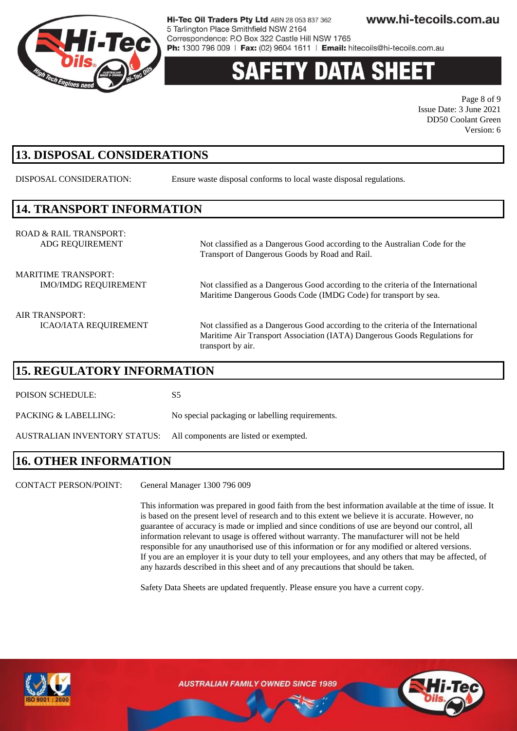

# **Y DATA SH**

Page 8 of 9 Issue Date: 3 June 2021 DD50 Coolant Green Version: 6

## **13. DISPOSAL CONSIDERATIONS**

DISPOSAL CONSIDERATION: Ensure waste disposal conforms to local waste disposal regulations.

### **14. TRANSPORT INFORMATION**

ROAD & RAIL TRANSPORT: ADG REQUIREMENT Not classified as a Dangerous Good according to the Australian Code for the

MARITIME TRANSPORT:

IMO/IMDG REQUIREMENT Not classified as a Dangerous Good according to the criteria of the International Maritime Dangerous Goods Code (IMDG Code) for transport by sea.

Transport of Dangerous Goods by Road and Rail.

AIR TRANSPORT:

ICAO/IATA REQUIREMENT Not classified as a Dangerous Good according to the criteria of the International Maritime Air Transport Association (IATA) Dangerous Goods Regulations for transport by air.

#### **15. REGULATORY INFORMATION**

POISON SCHEDULE: S5

PACKING & LABELLING: No special packaging or labelling requirements.

AUSTRALIAN INVENTORY STATUS: All components are listed or exempted.

### **16. OTHER INFORMATION**

CONTACT PERSON/POINT: General Manager 1300 796 009

This information was prepared in good faith from the best information available at the time of issue. It is based on the present level of research and to this extent we believe it is accurate. However, no guarantee of accuracy is made or implied and since conditions of use are beyond our control, all information relevant to usage is offered without warranty. The manufacturer will not be held responsible for any unauthorised use of this information or for any modified or altered versions. If you are an employer it is your duty to tell your employees, and any others that may be affected, of any hazards described in this sheet and of any precautions that should be taken.

Safety Data Sheets are updated frequently. Please ensure you have a current copy.